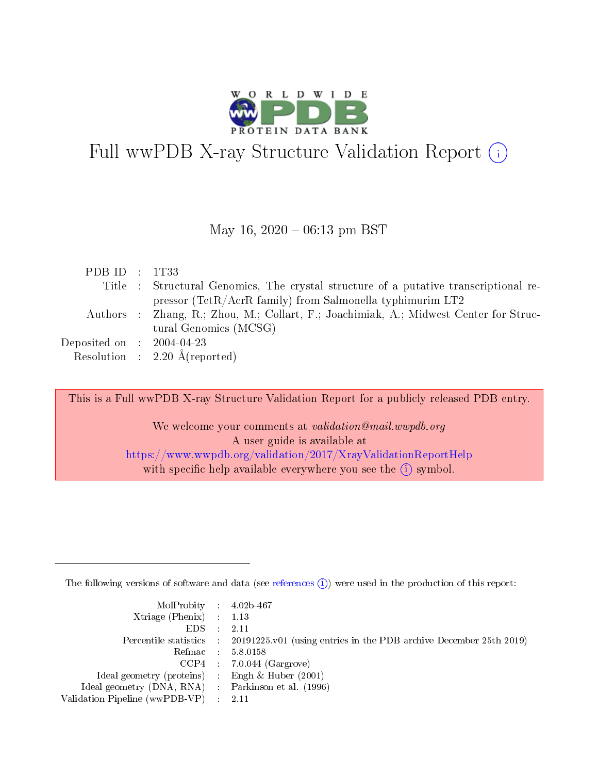

# Full wwPDB X-ray Structure Validation Report  $(i)$

#### May 16,  $2020 - 06:13$  pm BST

| Title : Structural Genomics, The crystal structure of a putative transcriptional re-  |  |
|---------------------------------------------------------------------------------------|--|
|                                                                                       |  |
| pressor (TetR/AcrR family) from Salmonella typhimurim LT2                             |  |
| Authors : Zhang, R.; Zhou, M.; Collart, F.; Joachimiak, A.; Midwest Center for Struc- |  |
| tural Genomics (MCSG)                                                                 |  |
| Deposited on $\,$ : 2004-04-23 $\,$                                                   |  |
| Resolution : $2.20 \text{ Å}$ (reported)                                              |  |

This is a Full wwPDB X-ray Structure Validation Report for a publicly released PDB entry.

We welcome your comments at validation@mail.wwpdb.org A user guide is available at <https://www.wwpdb.org/validation/2017/XrayValidationReportHelp> with specific help available everywhere you see the  $(i)$  symbol.

The following versions of software and data (see [references](https://www.wwpdb.org/validation/2017/XrayValidationReportHelp#references)  $(i)$ ) were used in the production of this report:

| $MolProbability$ 4.02b-467<br>Xtriage (Phenix) $: 1.13$ |                                                                                                     |
|---------------------------------------------------------|-----------------------------------------------------------------------------------------------------|
| $EDS$ :                                                 | -2.11<br>Percentile statistics : 20191225.v01 (using entries in the PDB archive December 25th 2019) |
|                                                         | Refmac : 5.8.0158                                                                                   |
|                                                         | $CCP4$ : 7.0.044 (Gargrove)                                                                         |
| Ideal geometry (proteins) : Engh $\&$ Huber (2001)      |                                                                                                     |
| Ideal geometry (DNA, RNA) : Parkinson et al. (1996)     |                                                                                                     |
| Validation Pipeline (wwPDB-VP) :                        | -2.11                                                                                               |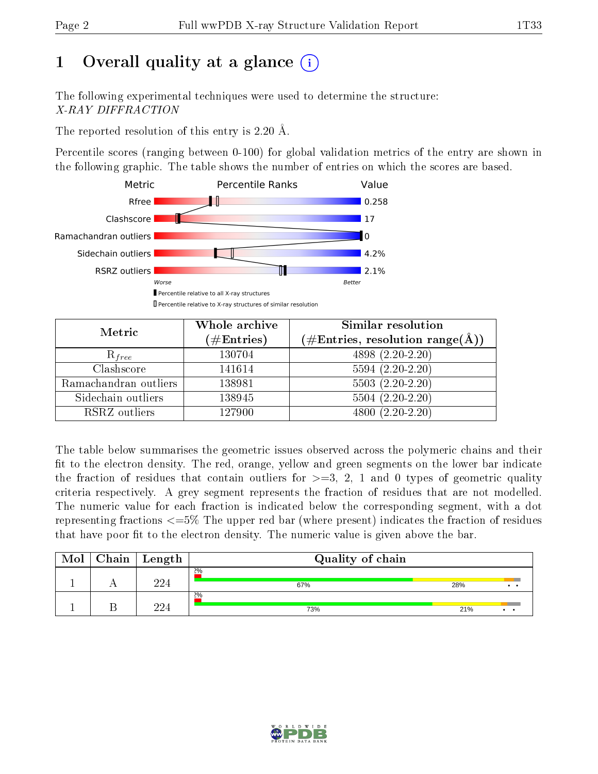# 1 [O](https://www.wwpdb.org/validation/2017/XrayValidationReportHelp#overall_quality)verall quality at a glance  $(i)$

The following experimental techniques were used to determine the structure: X-RAY DIFFRACTION

The reported resolution of this entry is 2.20 Å.

Percentile scores (ranging between 0-100) for global validation metrics of the entry are shown in the following graphic. The table shows the number of entries on which the scores are based.



| Metric                | Whole archive<br>$(\#\text{Entries})$ | <b>Similar resolution</b><br>$(\#\text{Entries},\,\text{resolution}\,\,\text{range}(\textup{\AA}))$ |
|-----------------------|---------------------------------------|-----------------------------------------------------------------------------------------------------|
| $R_{free}$            | 130704                                | $4898(2.20-2.20)$                                                                                   |
| Clashscore            | 141614                                | $5594(2.20-2.20)$                                                                                   |
| Ramachandran outliers | 138981                                | $5503(2.20-2.20)$                                                                                   |
| Sidechain outliers    | 138945                                | $5504(2.20-2.20)$                                                                                   |
| RSRZ outliers         | 127900                                | $4800(2.20-2.20)$                                                                                   |

The table below summarises the geometric issues observed across the polymeric chains and their fit to the electron density. The red, orange, yellow and green segments on the lower bar indicate the fraction of residues that contain outliers for  $>=3, 2, 1$  and 0 types of geometric quality criteria respectively. A grey segment represents the fraction of residues that are not modelled. The numeric value for each fraction is indicated below the corresponding segment, with a dot representing fractions  $\epsilon=5\%$  The upper red bar (where present) indicates the fraction of residues that have poor fit to the electron density. The numeric value is given above the bar.

| Mol | <b>Chain</b> | $\vert$ Length | Quality of chain |     |     |
|-----|--------------|----------------|------------------|-----|-----|
|     |              | 994            | 2%<br>67%        | 28% | . . |
|     |              | 994            | 2%<br>73%        | 21% |     |

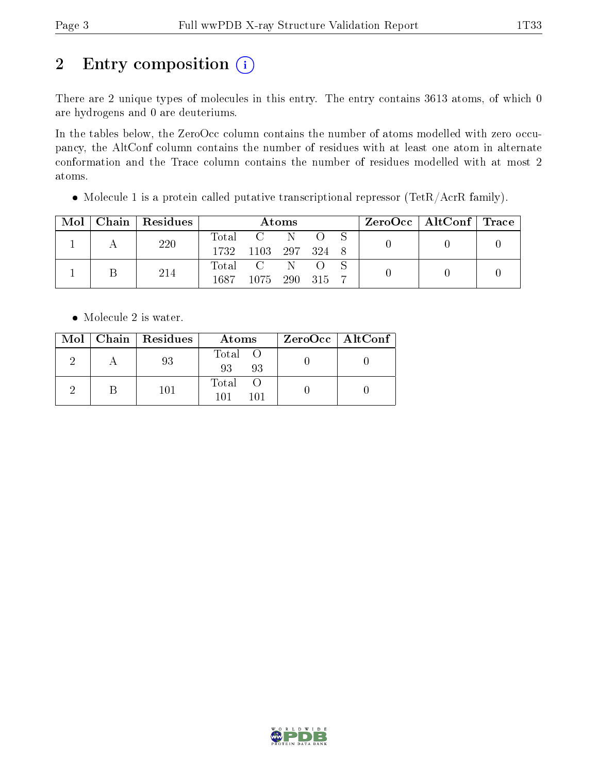# 2 Entry composition (i)

There are 2 unique types of molecules in this entry. The entry contains 3613 atoms, of which 0 are hydrogens and 0 are deuteriums.

In the tables below, the ZeroOcc column contains the number of atoms modelled with zero occupancy, the AltConf column contains the number of residues with at least one atom in alternate conformation and the Trace column contains the number of residues modelled with at most 2 atoms.

• Molecule 1 is a protein called putative transcriptional repressor (TetR/AcrR family).

| Mol | Chain   Residues | Atoms   |                     |  |  | $\text{ZeroOcc} \mid \text{AltConf} \mid \text{Trace}$ |  |  |
|-----|------------------|---------|---------------------|--|--|--------------------------------------------------------|--|--|
|     | 220              |         | Total C             |  |  |                                                        |  |  |
|     |                  |         | 1732 1103 297 324 8 |  |  |                                                        |  |  |
|     | 214              | Total C |                     |  |  |                                                        |  |  |
|     |                  | 1687    | 1075 290 315        |  |  |                                                        |  |  |

• Molecule 2 is water.

|  | Mol   Chain   Residues | Atoms               | ZeroOcc   AltConf |
|--|------------------------|---------------------|-------------------|
|  | 93                     | Total O<br>93<br>93 |                   |
|  | 101                    | Total<br>101<br>101 |                   |

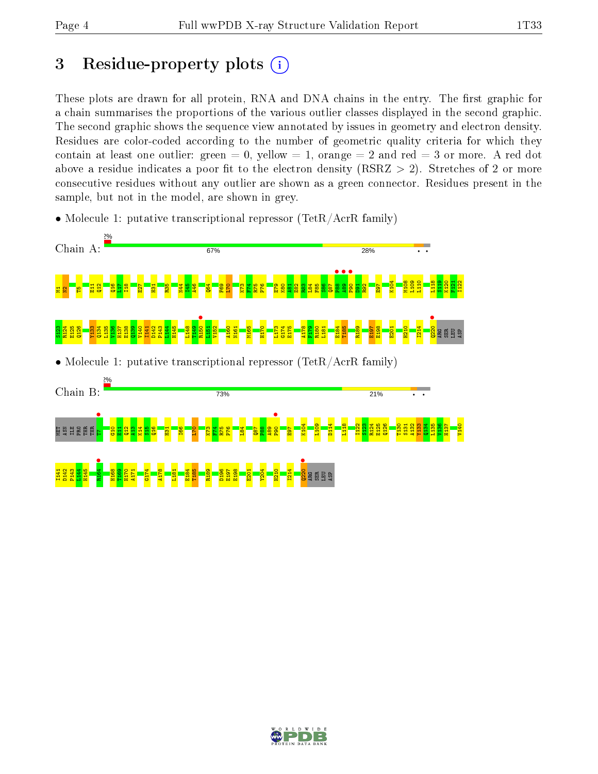# 3 Residue-property plots  $(i)$

These plots are drawn for all protein, RNA and DNA chains in the entry. The first graphic for a chain summarises the proportions of the various outlier classes displayed in the second graphic. The second graphic shows the sequence view annotated by issues in geometry and electron density. Residues are color-coded according to the number of geometric quality criteria for which they contain at least one outlier: green  $= 0$ , yellow  $= 1$ , orange  $= 2$  and red  $= 3$  or more. A red dot above a residue indicates a poor fit to the electron density (RSRZ  $> 2$ ). Stretches of 2 or more consecutive residues without any outlier are shown as a green connector. Residues present in the sample, but not in the model, are shown in grey.



• Molecule 1: putative transcriptional repressor (TetR/AcrR family)

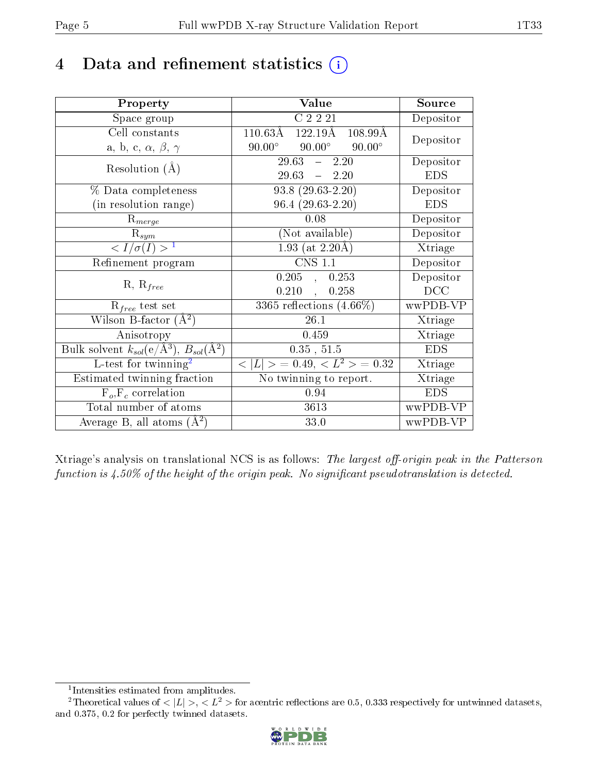# 4 Data and refinement statistics  $(i)$

| Property                                                         | Value                                                          | Source     |
|------------------------------------------------------------------|----------------------------------------------------------------|------------|
| Space group                                                      | C2221                                                          | Depositor  |
| Cell constants                                                   | $122.19\text{\AA}$<br>$110.63\text{\AA}$<br>$108.99\text{\AA}$ |            |
| a, b, c, $\alpha$ , $\beta$ , $\gamma$                           | $90.00^{\circ}$<br>$90.00^\circ$<br>$90.00^\circ$              | Depositor  |
| Resolution $(A)$                                                 | $29.63 - 2.20$                                                 | Depositor  |
|                                                                  | $29.63 - 2.20$                                                 | <b>EDS</b> |
| % Data completeness                                              | $93.8(29.63-2.20)$                                             | Depositor  |
| (in resolution range)                                            | $96.4(29.63-2.20)$                                             | <b>EDS</b> |
| $R_{merge}$                                                      | 0.08                                                           | Depositor  |
| $\mathrm{R}_{sym}$                                               | (Not available)                                                | Depositor  |
| $\langle I/\sigma(I) \rangle^{-1}$                               | 1.93 (at $2.20\text{\AA}$ )                                    | Xtriage    |
| Refinement program                                               | <b>CNS 1.1</b>                                                 | Depositor  |
|                                                                  | $0.205$ , $0.253$                                              | Depositor  |
| $R, R_{free}$                                                    | $0.210,$ ,<br>0.258                                            | DCC        |
| $R_{free}$ test set                                              | $3365$ reflections $(4.66\%)$                                  | wwPDB-VP   |
| Wilson B-factor $(A^2)$                                          | 26.1                                                           | Xtriage    |
| Anisotropy                                                       | 0.459                                                          | Xtriage    |
| Bulk solvent $k_{sol}(\text{e}/\text{A}^3), B_{sol}(\text{A}^2)$ | 0.35, 51.5                                                     | <b>EDS</b> |
| L-test for $\mathrm{twinning}^2$                                 | $< L >$ = 0.49, $< L2$ > = 0.32                                | Xtriage    |
| Estimated twinning fraction                                      | $\overline{\text{No}}$ twinning to report.                     | Xtriage    |
| $F_o, F_c$ correlation                                           | 0.94                                                           | <b>EDS</b> |
| Total number of atoms                                            | 3613                                                           | wwPDB-VP   |
| Average B, all atoms $(A^2)$                                     | 33.0                                                           | wwPDB-VP   |

Xtriage's analysis on translational NCS is as follows: The largest off-origin peak in the Patterson function is  $4.50\%$  of the height of the origin peak. No significant pseudotranslation is detected.

<sup>&</sup>lt;sup>2</sup>Theoretical values of  $\langle |L| \rangle$ ,  $\langle L^2 \rangle$  for acentric reflections are 0.5, 0.333 respectively for untwinned datasets, and 0.375, 0.2 for perfectly twinned datasets.



<span id="page-4-1"></span><span id="page-4-0"></span><sup>1</sup> Intensities estimated from amplitudes.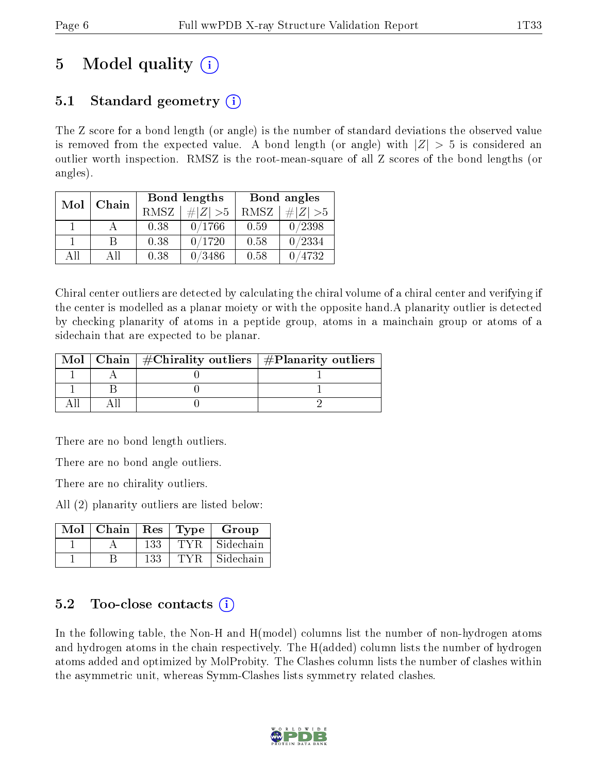# 5 Model quality  $(i)$

# 5.1 Standard geometry (i)

The Z score for a bond length (or angle) is the number of standard deviations the observed value is removed from the expected value. A bond length (or angle) with  $|Z| > 5$  is considered an outlier worth inspection. RMSZ is the root-mean-square of all Z scores of the bond lengths (or angles).

| Mol | Chain |      | Bond lengths | Bond angles |             |
|-----|-------|------|--------------|-------------|-------------|
|     |       | RMSZ | $\# Z  > 5$  | RMSZ        | $\ Z\  > 5$ |
|     |       | 0.38 | 0/1766       | 0.59        | 0/2398      |
|     | R     | 0.38 | 0/1720       | 0.58        | 0/2334      |
| ΔH  | ΑĦ    | 0.38 | 0/3486       | 0.58        | 4732        |

Chiral center outliers are detected by calculating the chiral volume of a chiral center and verifying if the center is modelled as a planar moiety or with the opposite hand.A planarity outlier is detected by checking planarity of atoms in a peptide group, atoms in a mainchain group or atoms of a sidechain that are expected to be planar.

| Mol | Chain   $\#\text{Chirality outliers}$   $\#\text{Planarity outliers}$ |  |
|-----|-----------------------------------------------------------------------|--|
|     |                                                                       |  |
|     |                                                                       |  |
|     |                                                                       |  |

There are no bond length outliers.

There are no bond angle outliers.

There are no chirality outliers.

All (2) planarity outliers are listed below:

| Mol | $\mid$ Chain | $\mathbf{Res}$ | Type | Group     |
|-----|--------------|----------------|------|-----------|
|     |              | 133            | TVR  | Sidechain |
|     |              | 133            |      | Sidechain |

### 5.2 Too-close contacts  $(i)$

In the following table, the Non-H and H(model) columns list the number of non-hydrogen atoms and hydrogen atoms in the chain respectively. The H(added) column lists the number of hydrogen atoms added and optimized by MolProbity. The Clashes column lists the number of clashes within the asymmetric unit, whereas Symm-Clashes lists symmetry related clashes.

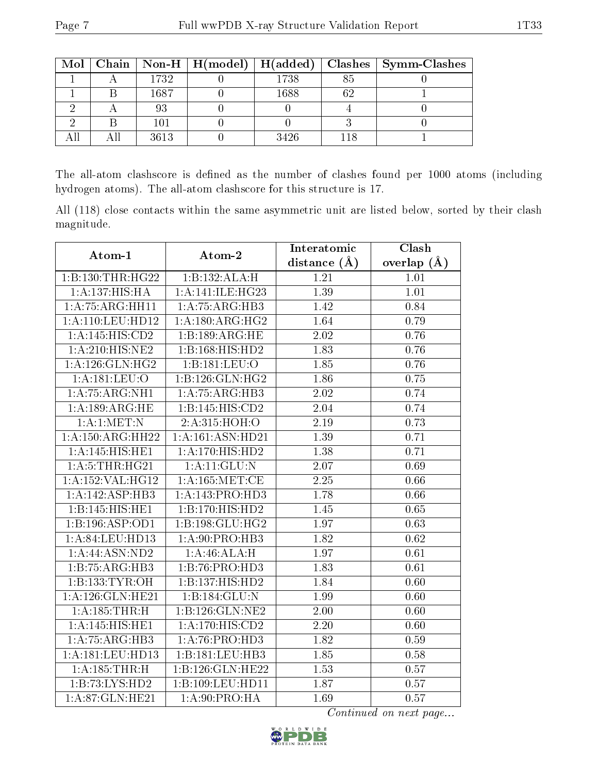|  |      |      | Mol   Chain   Non-H   H(model)   H(added)   Clashes   Symm-Clashes |
|--|------|------|--------------------------------------------------------------------|
|  | 1732 | 1738 |                                                                    |
|  | 1687 | 1688 |                                                                    |
|  | 93   |      |                                                                    |
|  | 101  |      |                                                                    |
|  | 3613 | 3426 |                                                                    |

The all-atom clashscore is defined as the number of clashes found per 1000 atoms (including hydrogen atoms). The all-atom clashscore for this structure is 17.

All (118) close contacts within the same asymmetric unit are listed below, sorted by their clash magnitude.

| Atom-1              | Atom-2                       | Interatomic    | Clash         |
|---------------------|------------------------------|----------------|---------------|
|                     |                              | distance $(A)$ | overlap $(A)$ |
| 1:B:130:THR:HG22    | 1:B:132:ALA:H                | 1.21           | 1.01          |
| 1: A: 137: HIS: HA  | 1:A:141:ILE:HG23             | 1.39           | 1.01          |
| 1:A:75:ARG:HH11     | 1:A:75:ARG:HB3               | 1.42           | 0.84          |
| 1:A:110:LEU:HD12    | 1:A:180:ARG:HG2              | 1.64           | 0.79          |
| 1:A:145:HIS:CD2     | 1:B:189:ARG:HE               | 2.02           | 0.76          |
| 1: A:210: HIS: NE2  | 1:B:168:HIS:HD2              | 1.83           | 0.76          |
| 1: A:126: GLN: HG2  | 1:B:181:LEU:O                | 1.85           | 0.76          |
| 1:A:181:LEU:O       | $1:B:126:GLN:\overline{HG2}$ | 1.86           | 0.75          |
| 1:A:75:ARG:NH1      | 1:A:75:ARG:HB3               | 2.02           | 0.74          |
| 1: A:189:ARG:HE     | 1:B:145:HIS:CD2              | 2.04           | 0.74          |
| 1: A:1: MET: N      | 2:A:315:HOH:O                | 2.19           | 0.73          |
| 1:A:150:ARG:HH22    | 1:A:161:ASN:HD21             | 1.39           | 0.71          |
| 1:A:145:HIS:HEI     | 1: A:170:HIS:HD2             | 1.38           | 0.71          |
| 1: A:5:THR:HG21     | 1: A:11: GLU:N               | 2.07           | 0.69          |
| 1:A:152:VAL:HG12    | 1: A: 165:MET:CE             | 2.25           | 0.66          |
| 1:A:142:ASP:HB3     | 1:A:143:PRO:HD3              | 1.78           | 0.66          |
| 1:B:145:HIS:HE1     | 1:B:170:HIS:HD2              | 1.45           | 0.65          |
| 1:B:196:ASP:OD1     | 1:B:198:GLU:HG2              | 1.97           | 0.63          |
| 1:A:84:LEU:HD13     | 1:A:90:PRO:HB3               | 1.82           | 0.62          |
| 1: A:44: ASN:ND2    | 1:A:46:ALA:H                 | 1.97           | 0.61          |
| 1:B:75:ARG:HB3      | 1:B:76:PRO:HD3               | 1.83           | 0.61          |
| 1:B:133:TYR:OH      | 1:B:137:HIS:HD2              | 1.84           | 0.60          |
| 1: A:126: GLN: HE21 | 1:B:184:GLU:N                | 1.99           | 0.60          |
| 1: A: 185: THR:H    | 1:B:126:GLN:NE2              | 2.00           | 0.60          |
| 1: A:145: HIS: HE1  | $1:A:170:\overline{HIS:CD2}$ | 2.20           | 0.60          |
| 1:A:75:ARG:HB3      | 1:A:76:PRO:HD3               | 1.82           | 0.59          |
| 1:A:181:LEU:HD13    | 1:B:181:LEU:HB3              | 1.85           | 0.58          |
| 1: A: 185: THR:H    | 1:B:126:GLN:HE22             | 1.53           | 0.57          |
| 1:B:73:LYS:HD2      | 1:B:109:LEU:HD11             | 1.87           | 0.57          |
| 1:A:87:GLN:HE21     | 1: A:90: PRO:HA              | 1.69           | 0.57          |

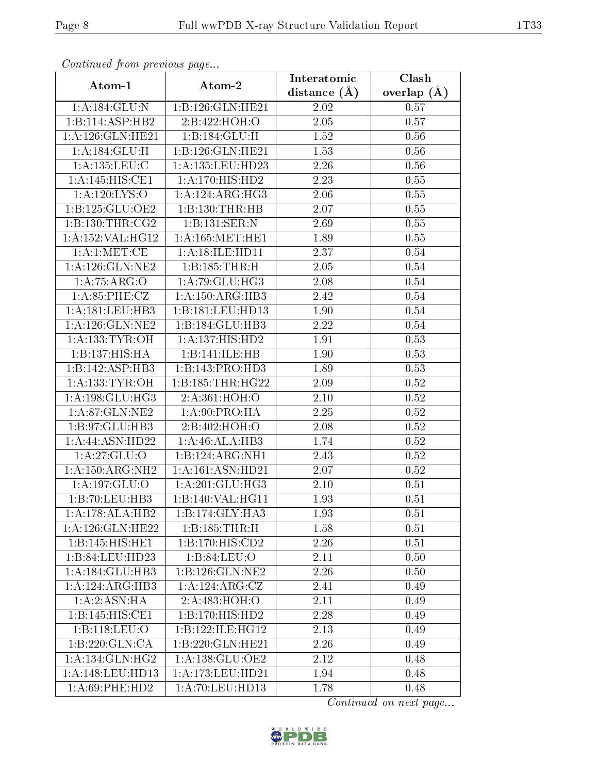| Continuata from previous page |                               | Interatomic       | Clash         |
|-------------------------------|-------------------------------|-------------------|---------------|
| Atom-1                        | Atom-2                        | distance $(A)$    | overlap $(A)$ |
| 1: A: 184: GLU:N              | 1:B:126:GLN:HE21              | 2.02              | 0.57          |
| 1: B: 114: ASP: HB2           | 2:B:422:HOH:O                 | 2.05              | 0.57          |
| 1: A:126: GLN: HE21           | 1:B:184:GLU:H                 | 1.52              | 0.56          |
| 1: A: 184: GLU: H             | 1:B:126:GLN:HE21              | 1.53              | 0.56          |
| $1: A: 135:$ LEU:C            | 1:A:135:LEU:HD23              | 2.26              | 0.56          |
| 1:A:145:HIS:CE1               | $1:A:170:HIS:H\overline{D2}$  | 2.23              | 0.55          |
| 1: A: 120: LYS: O             | 1:A:124:ARG:HG3               | $\overline{2.06}$ | 0.55          |
| 1: B: 125: GLU: OE2           | 1:B:130:THR:HB                | 2.07              | 0.55          |
| 1: B: 130: THR: CG2           | 1:B:131:SER:N                 | 2.69              | 0.55          |
| 1:A:152:VAL:HG12              | 1: A: 165: MET: HE1           | 1.89              | 0.55          |
| 1:A:1:MET:CE                  | 1:A:18:ILE:HD11               | 2.37              | 0.54          |
| 1: A: 126: GLN: NE2           | 1:B:185:THR:H                 | 2.05              | $0.54\,$      |
| 1: A:75: ARG:O                | 1: A:79: GLU: HG3             | 2.08              | 0.54          |
| 1: A:85:PHE:CZ                | 1:A:150:ARG:HB3               | 2.42              | 0.54          |
| 1: A: 181: LEU: HB3           | 1:B:181:LEU:HD13              | 1.90              | 0.54          |
| 1: A: 126: GLN: NE2           | 1:B:184:GLU:HB3               | 2.22              | 0.54          |
| 1: A: 133: TYR: OH            | 1:A:137:HIS:HD2               | 1.91              | 0.53          |
| 1:B:137:HIS:HA                | 1:B:141:ILE:HB                | 1.90              | 0.53          |
| 1:B:142:ASP:HB3               | 1:B:143:PRO:HD3               | 1.89              | 0.53          |
| 1: A: 133: TYR: OH            | 1: B: 185: THR: HG22          | 2.09              | 0.52          |
| 1: A: 198: GLU: HG3           | 2:A:361:HOH:O                 | 2.10              | 0.52          |
| 1:A:87:GLN:NE2                | 1: A:90: PRO:HA               | 2.25              | 0.52          |
| 1:B:97:GLU:HB3                | 2:B:402:HOH:O                 | 2.08              | 0.52          |
| 1:A:44:ASN:HD22               | 1:A:46:ALA:HB3                | 1.74              | 0.52          |
| 1:A:27:GLU:O                  | 1:B:124:ARG:NH1               | 2.43              | 0.52          |
| 1:A:150:ARG:NH2               | 1:A:161:ASN:HD21              | 2.07              | 0.52          |
| 1: A: 197: GLU:O              | 1: A:201: GLU:HG3             | 2.10              | 0.51          |
| 1:B:70:LEU:HB3                | 1:B:140:VAL:HG11              | 1.93              | 0.51          |
| 1:A:178:ALA:HB2               | 1:B:174:GLY:HA3               | 1.93              | 0.51          |
| 1:A:126:GLN:HE22              | 1:B:185:THR:H                 | 1.58              | 0.51          |
| 1:B:145:HIS:HE1               | 1:B:170:HIS:CD2               | 2.26              | 0.51          |
| 1:B:84:LEU:HD23               | 1:B:84:LEU:O                  | 2.11              | 0.50          |
| 1:A:184:GLU:HB3               | 1:B:126:GLN:NE2               | 2.26              | 0.50          |
| 1:A:124:ARG:HB3               | 1:A:124:ARG:CZ                | 2.41              | 0.49          |
| 1:A:2:ASN:HA                  | 2:A:483:HOH:O                 | 2.11              | 0.49          |
| 1:B:145:HIS:CE1               | 1:B:170:HIS:HD2               | 2.28              | 0.49          |
| 1:B:118:LEU:O                 | 1:B:122:ILE:HG12              | 2.13              | 0.49          |
| 1:B:220:GLN:CA                | $1:B:220:G\overline{LN:HE21}$ | 2.26              | 0.49          |
| 1:A:134:GLN:HG2               | 1: A: 138: GLU: OE2           | 2.12              | 0.48          |
| 1:A:148:LEU:HD13              | 1:A:173:LEU:HD21              | 1.94              | 0.48          |
| 1: A:69:PHE:HD2               | 1:A:70:LEU:HD13               | 1.78              | 0.48          |

Continued from previous page.

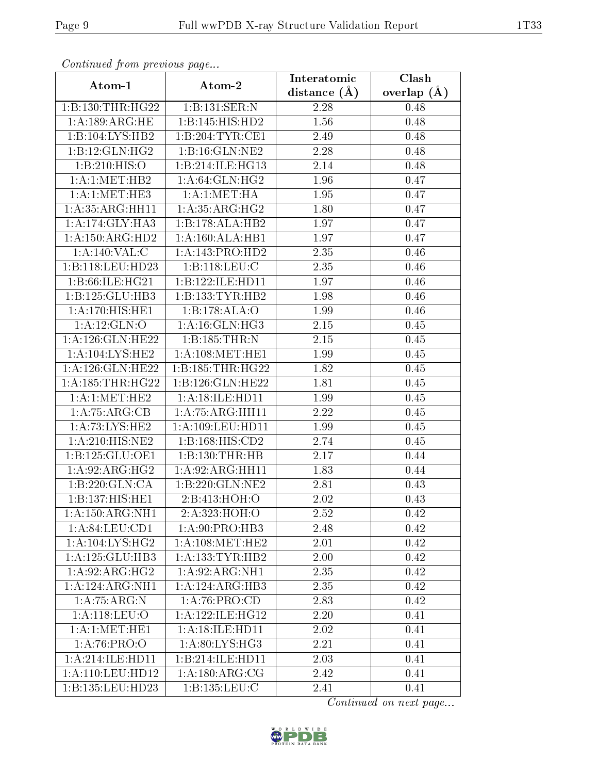| Continuata from previous page |                                | Interatomic    | Clash         |
|-------------------------------|--------------------------------|----------------|---------------|
| Atom-1                        | Atom-2                         | distance $(A)$ | overlap $(A)$ |
| 1:B:130:THR:HG22              | 1:B:131:SER:N                  | 2.28           | 0.48          |
| 1: A:189: ARG:HE              | 1:B:145:HIS:HD2                | 1.56           | 0.48          |
| 1:B:104:LYS:HB2               | 1:B:204:TYR:CE1                | 2.49           | 0.48          |
| 1:B:12:GLN:HG2                | 1:B:16:GLN:NE2                 | 2.28           | 0.48          |
| 1:B:210:HIS:O                 | 1:B:214:ILE:HG13               | 2.14           | 0.48          |
| 1:A:1:MET:HB2                 | 1: A:64: GLN: HG2              | 1.96           | 0.47          |
| 1: A:1: MET:HE3               | 1:A:1:MET:HA                   | 1.95           | 0.47          |
| 1:A:35:ARG:HH11               | 1: A: 35: ARG: HG2             | 1.80           | 0.47          |
| 1:A:174:GLY:HA3               | 1:B:178:ALA:HB2                | 1.97           | 0.47          |
| 1: A: 150: ARG: HD2           | 1:A:160:ALA:HB1                | 1.97           | 0.47          |
| 1:A:140:VAL:CC                | 1:A:143:PRO:HD2                | 2.35           | 0.46          |
| 1:B:118:LEU:HD23              | 1:B:118:LEU:C                  | 2.35           | 0.46          |
| 1:B:66:ILE:HG21               | 1:B:122:ILE:HD11               | 1.97           | 0.46          |
| 1:B:125:GLU:HB3               | 1:B:133:TYR:HB2                | 1.98           | 0.46          |
| 1:A:170:HIS:HE1               | 1:B:178:ALA:O                  | 1.99           | 0.46          |
| 1:A:12:GLN:O                  | 1: A:16: GLN: HG3              | 2.15           | 0.45          |
| 1:A:126:GLN:HE22              | 1: B: 185: THR:N               | 2.15           | 0.45          |
| 1: A: 104: LYS: HE2           | 1: A:108:MET:HE1               | 1.99           | 0.45          |
| 1:A:126:GLN:HE22              | 1: B: 185: THR: HG22           | 1.82           | 0.45          |
| 1: A: 185: THR: HG22          | 1:B:126:GLN:HE22               | 1.81           | 0.45          |
| 1:A:1:MET:HE2                 | 1: A:18: ILE: HD11             | 1.99           | 0.45          |
| 1:A:75:ARG:CB                 | 1: A:75: ARG:HH11              | 2.22           | 0.45          |
| 1:A:73:LYS:HE2                | 1: A: 109: LEU: HD11           | 1.99           | 0.45          |
| 1: A:210: HIS: NE2            | 1: B: 168: HIS: CD2            | 2.74           | 0.45          |
| 1:B:125:GLU:OE1               | 1:B:130:THR:HB                 | 2.17           | 0.44          |
| 1:A:92:ARG:HG2                | $1: A:92: \overline{ARG:HH11}$ | 1.83           | 0.44          |
| 1:B:220:GLN:CA                | 1:B:220:GLN:NE2                | 2.81           | 0.43          |
| 1:B:137:HIS:HE1               | 2:B:413:HOH:O                  | 2.02           | 0.43          |
| 1: A: 150: ARG: NH1           | 2:A:323:HOH:O                  | 2.52           | 0.42          |
| 1: A:84: LEU:CD1              | 1:A:90:PRO:HB3                 | 2.48           | 0.42          |
| 1: A:104: LYS: HG2            | 1: A: 108: MET: HE2            | 2.01           | 0.42          |
| 1:A:125:GLU:HB3               | 1: A: 133: TYR: HB2            | 2.00           | 0.42          |
| 1:A:92:ARG:HG2                | 1: A:92: ARG:NH1               | 2.35           | 0.42          |
| 1:A:124:ARG:NH1               | 1:A:124:ARG:HB3                | 2.35           | 0.42          |
| 1:A:75:ARG:N                  | 1:A:76:PRO:CD                  | 2.83           | 0.42          |
| 1: A:118: LEU:O               | 1:A:122:ILE:HG12               | 2.20           | 0.41          |
| 1:A:1:MET:HE1                 | 1: A:18: ILE: HD11             | 2.02           | 0.41          |
| 1:A:76:PRO:O                  | 1: A:80: LYS: HG3              | 2.21           | 0.41          |
| 1:A:214:ILE:HD11              | 1:B:214:ILE:HD11               | 2.03           | 0.41          |
| $1:$ A:110:LEU:HD12           | 1: A: 180: ARG: CG             | 2.42           | 0.41          |
| 1:B:135:LEU:HD23              | 1:B:135:LEU:C                  | 2.41           | 0.41          |

Continued from previous page.

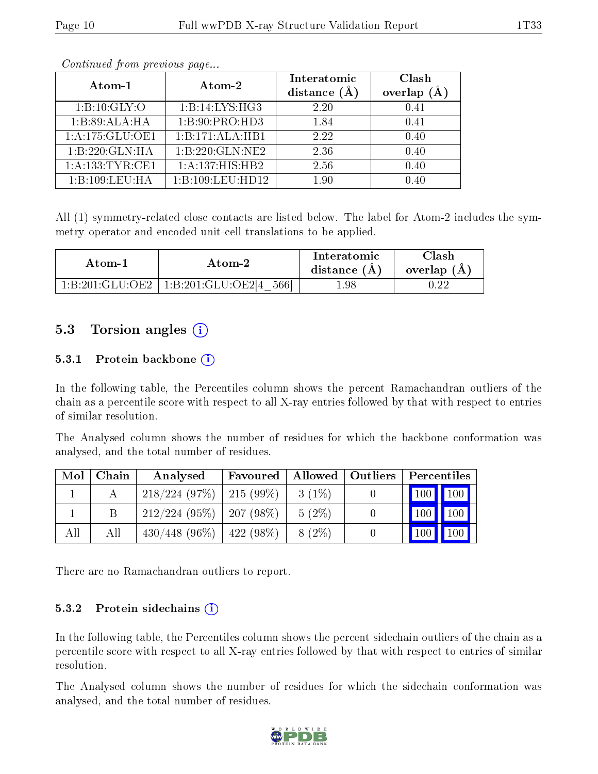| Atom-1          | Atom-2           | Interatomic<br>distance $(A)$ | Clash<br>(Å<br>overlap |
|-----------------|------------------|-------------------------------|------------------------|
| 1: B: 10: GLY:O | 1:B:14:LYS:HG3   | 2.20                          | 0.41                   |
| 1:B:89:ALA:HA   | 1:B:90:PRO:HD3   | 1.84                          | 0.41                   |
| 1:A:175:GLU:OE1 | 1:B:171:ALA:HB1  | 2.22                          | 0.40                   |
| 1:B:220:GLN:HA  | 1:B:220:GLN:NE2  | 2.36                          | 0.40                   |
| 1:A:133:TYR:CE1 | 1:A:137:HIS:HB2  | 2.56                          | 0.40                   |
| 1:B:109:LEU:HA  | 1:B:109:LEU:HD12 | 1.90                          | 0.40                   |

Continued from previous page...

All (1) symmetry-related close contacts are listed below. The label for Atom-2 includes the symmetry operator and encoded unit-cell translations to be applied.

| Atom-1          | Atom-2                    |      | $\gamma$ lash<br>overlap (A |
|-----------------|---------------------------|------|-----------------------------|
| 1:B:201:GLU:OE2 | 1:B:201:GLU:OE2[4]<br>566 | 1.98 | ററ                          |

### 5.3 Torsion angles (i)

#### 5.3.1 Protein backbone (i)

In the following table, the Percentiles column shows the percent Ramachandran outliers of the chain as a percentile score with respect to all X-ray entries followed by that with respect to entries of similar resolution.

The Analysed column shows the number of residues for which the backbone conformation was analysed, and the total number of residues.

| Mol | Chain | Analysed                      | Favoured   Allowed   Outliers |          | $\mathop{\rm Percentiles}$ |                    |
|-----|-------|-------------------------------|-------------------------------|----------|----------------------------|--------------------|
|     |       | $218/224$ (97\%)   215 (99\%) |                               | $3(1\%)$ | $\vert$ 100 $\vert$        | $\parallel$ 100    |
|     |       | $212/224$ (95\%)   207 (98\%) |                               | $5(2\%)$ | $\vert$ 100 $\vert$        | $\vert$ 100        |
| All | Аll   | $430/448$ (96\%)              | $ 422(98\%)$                  | $8(2\%)$ | $^1100_1$                  | $\blacksquare$ 100 |

There are no Ramachandran outliers to report.

#### 5.3.2 Protein sidechains  $(i)$

In the following table, the Percentiles column shows the percent sidechain outliers of the chain as a percentile score with respect to all X-ray entries followed by that with respect to entries of similar resolution.

The Analysed column shows the number of residues for which the sidechain conformation was analysed, and the total number of residues.

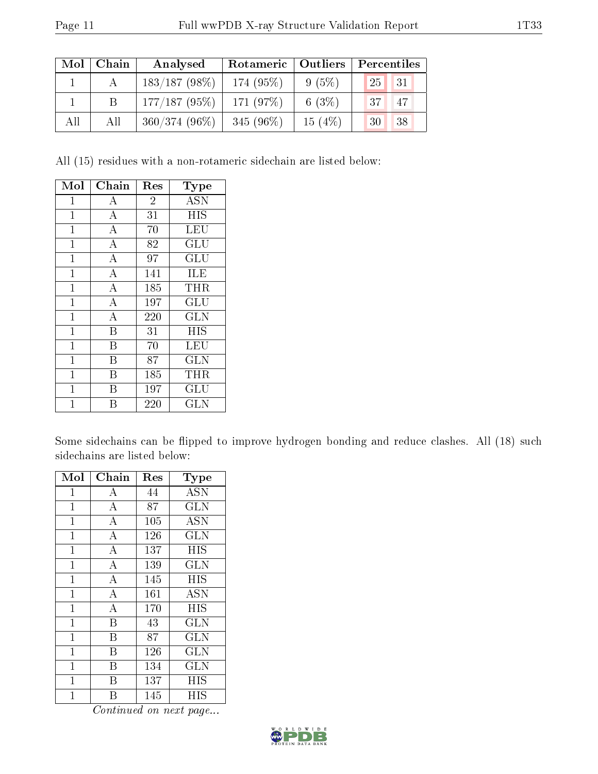| Mol | Chain | Analysed        | Rotameric   Outliers |           | Percentiles      |
|-----|-------|-----------------|----------------------|-----------|------------------|
|     |       | $183/187(98\%)$ | 174 (95%)            | $9(5\%)$  | 25<br>$\vert$ 31 |
|     |       | $177/187(95\%)$ | 171 (97\%)           | 6 $(3\%)$ | $^137$<br>47     |
| All | All   | $360/374(96\%)$ | 345 $(96\%)$         | 15(4%)    | 38<br>30         |

All (15) residues with a non-rotameric sidechain are listed below:

| Mol            | Chain              | Res            | <b>Type</b> |
|----------------|--------------------|----------------|-------------|
| $\mathbf 1$    | А                  | $\overline{2}$ | <b>ASN</b>  |
| $\mathbf{1}$   | $\boldsymbol{A}$   | 31             | <b>HIS</b>  |
| $\overline{1}$ | $\overline{\rm A}$ | 70             | <b>LEU</b>  |
| $\mathbf{1}$   | $\bf{A}$           | 82             | GLU         |
| $\mathbf 1$    | $\overline{A}$     | 97             | GLU         |
| $\overline{1}$ | $\overline{\rm A}$ | 141            | ILE         |
| $\mathbf{1}$   | $\bf{A}$           | 185            | THR         |
| $\mathbf{1}$   | $\overline{\rm A}$ | 197            | GLU         |
| $\mathbf{1}$   | $\overline{A}$     | 220            | <b>GLN</b>  |
| $\mathbf{1}$   | B                  | 31             | <b>HIS</b>  |
| $\mathbf{1}$   | В                  | 70             | LEU         |
| 1              | В                  | 87             | <b>GLN</b>  |
| $\mathbf 1$    | В                  | 185            | THR         |
| $\mathbf{1}$   | В                  | 197            | GLU         |
| 1              |                    | 220            | GLN         |

Some sidechains can be flipped to improve hydrogen bonding and reduce clashes. All (18) such sidechains are listed below:

| Mol            | Chain              | $\operatorname{Res}% \left( \mathcal{N}\right) \equiv\operatorname{Res}(\mathcal{N}_{0})\cap\mathcal{N}_{1}$ | Type       |
|----------------|--------------------|--------------------------------------------------------------------------------------------------------------|------------|
| 1              | A                  | 44                                                                                                           | <b>ASN</b> |
| $\mathbf{1}$   | $\boldsymbol{A}$   | 87                                                                                                           | GLN        |
| $\mathbf 1$    | $\bf{A}$           | 105                                                                                                          | <b>ASN</b> |
| 1              | $\overline{A}$     | 126                                                                                                          | GLN        |
| $\mathbf 1$    | $\boldsymbol{A}$   | 137                                                                                                          | HIS        |
| $\mathbf 1$    | $\boldsymbol{A}$   | 139                                                                                                          | <b>GLN</b> |
| $\overline{1}$ | $\overline{\rm A}$ | 145                                                                                                          | HIS        |
| $\mathbf{1}$   | $\boldsymbol{A}$   | 161                                                                                                          | <b>ASN</b> |
| $\mathbf{1}$   | $\boldsymbol{A}$   | 170                                                                                                          | <b>HIS</b> |
| $\mathbf 1$    | B                  | 43                                                                                                           | GLN        |
| $\mathbf 1$    | B                  | 87                                                                                                           | <b>GLN</b> |
| $\mathbf{1}$   | Β                  | 126                                                                                                          | GLN        |
| $\overline{1}$ | B                  | 134                                                                                                          | <b>GLN</b> |
| 1              | Β                  | 137                                                                                                          | ΗIS        |
| 1              | В                  | 145                                                                                                          | HIS        |

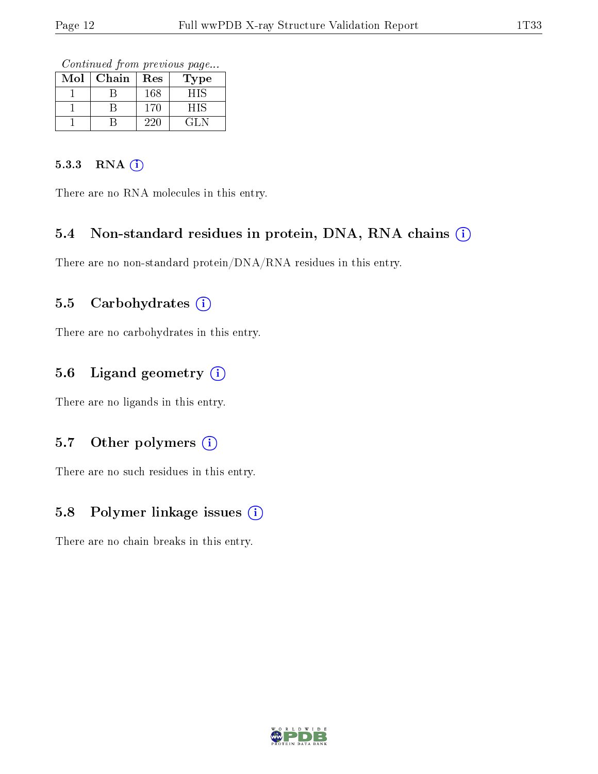Continued from previous page...

| Mol | Chain | Res | 1'ype |
|-----|-------|-----|-------|
|     |       | 168 | HIS   |
|     |       | 170 | HIS   |
|     |       | 220 | EL N  |

#### 5.3.3 RNA [O](https://www.wwpdb.org/validation/2017/XrayValidationReportHelp#rna)i

There are no RNA molecules in this entry.

### 5.4 Non-standard residues in protein, DNA, RNA chains (i)

There are no non-standard protein/DNA/RNA residues in this entry.

### 5.5 Carbohydrates (i)

There are no carbohydrates in this entry.

### 5.6 Ligand geometry (i)

There are no ligands in this entry.

### 5.7 [O](https://www.wwpdb.org/validation/2017/XrayValidationReportHelp#nonstandard_residues_and_ligands)ther polymers (i)

There are no such residues in this entry.

### 5.8 Polymer linkage issues (i)

There are no chain breaks in this entry.

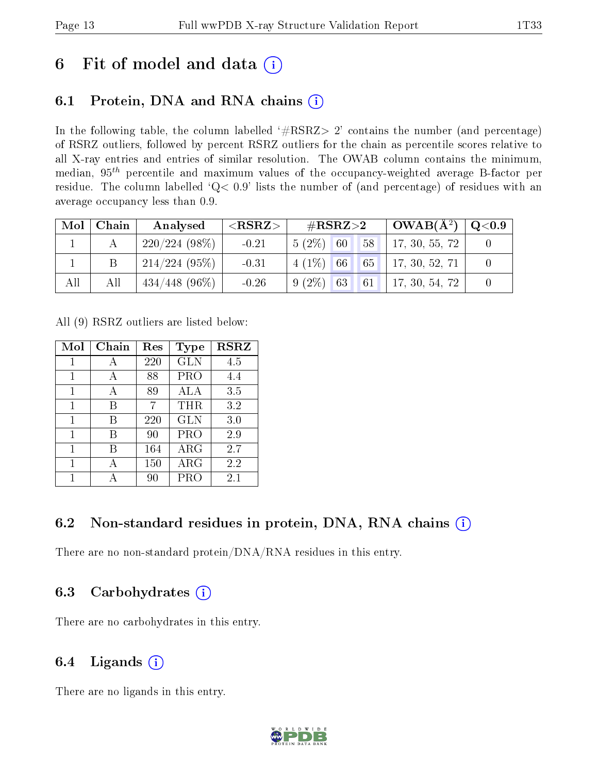# 6 Fit of model and data  $(i)$

## 6.1 Protein, DNA and RNA chains  $(i)$

In the following table, the column labelled  $#RSRZ> 2'$  contains the number (and percentage) of RSRZ outliers, followed by percent RSRZ outliers for the chain as percentile scores relative to all X-ray entries and entries of similar resolution. The OWAB column contains the minimum, median,  $95<sup>th</sup>$  percentile and maximum values of the occupancy-weighted average B-factor per residue. The column labelled ' $Q< 0.9$ ' lists the number of (and percentage) of residues with an average occupancy less than 0.9.

| Mol | Chain | Analysed         | ${ <\hspace{-1.5pt}{\mathrm{RSRZ}} \hspace{-1.5pt}>}$ | $\#\text{RSRZ}{>}2$ |    | $OWAB(A^2)$    | $\rm Q\textcolor{black}{<}0.9$ |
|-----|-------|------------------|-------------------------------------------------------|---------------------|----|----------------|--------------------------------|
|     |       | $220/224(98\%)$  | $-0.21$                                               | 60<br>$5(2\%)$      | 58 | 17, 30, 55, 72 |                                |
|     |       | 214/224(95%)     | $-0.31$                                               | $4(1\%)$ 66         | 65 | 17, 30, 52, 71 |                                |
| All | All   | $434/448$ (96\%) | $-0.26$                                               | $9(2\%)$ 63         |    | 17, 30, 54, 72 |                                |

All (9) RSRZ outliers are listed below:

| Mol | Chain | $\operatorname{Res}% \left( \mathcal{N}\right) \equiv\operatorname{Res}(\mathcal{N}_{0})\cap\mathcal{N}_{1}$ | Type        | <b>RSRZ</b> |
|-----|-------|--------------------------------------------------------------------------------------------------------------|-------------|-------------|
| 1   | А     | 220                                                                                                          | <b>GLN</b>  | 4.5         |
| 1   |       | 88                                                                                                           | <b>PRO</b>  | 4.4         |
| 1   | А     | 89                                                                                                           | ALA         | 3.5         |
| 1   | В     | 7                                                                                                            | THR         | 3.2         |
| 1   | В     | 220                                                                                                          | <b>GLN</b>  | 3.0         |
| 1   | В     | 90                                                                                                           | PRO         | 2.9         |
| 1   | В     | 164                                                                                                          | ${\rm ARG}$ | 2.7         |
| 1   |       | 150                                                                                                          | $\rm{ARG}$  | 2.2         |
|     |       | 90                                                                                                           | PRC         | 2.1         |

## 6.2 Non-standard residues in protein, DNA, RNA chains  $(i)$

There are no non-standard protein/DNA/RNA residues in this entry.

### 6.3 Carbohydrates (i)

There are no carbohydrates in this entry.

# 6.4 Ligands  $(i)$

There are no ligands in this entry.